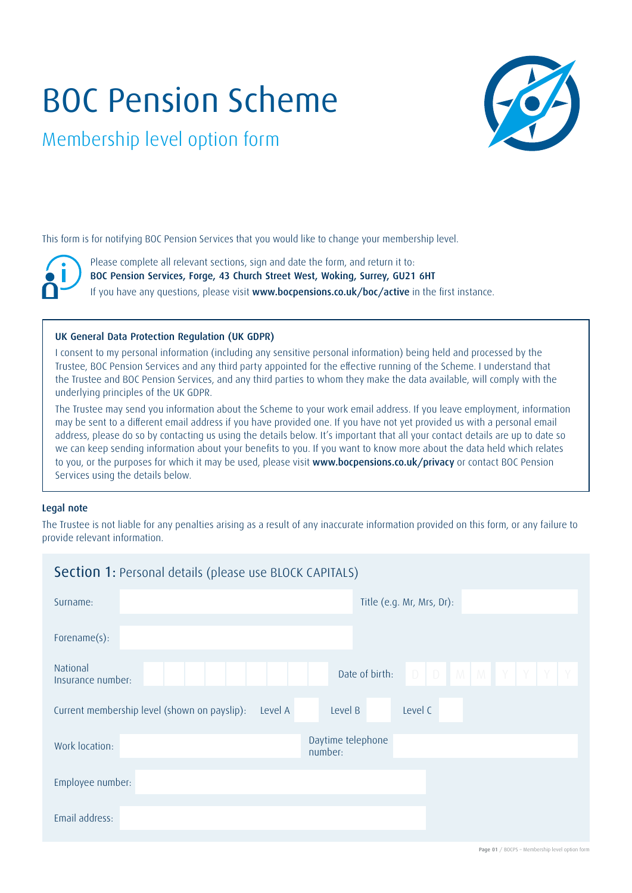# BOC Pension Scheme



Membership level option form

This form is for notifying BOC Pension Services that you would like to change your membership level.

Please complete all relevant sections, sign and date the form, and return it to: BOC Pension Services, Forge, 43 Church Street West, Woking, Surrey, GU21 6HT If you have any questions, please visit www.bocpensions.co.uk/boc/active in the first instance.

#### UK General Data Protection Regulation (UK GDPR)

I consent to my personal information (including any sensitive personal information) being held and processed by the Trustee, BOC Pension Services and any third party appointed for the effective running of the Scheme. I understand that the Trustee and BOC Pension Services, and any third parties to whom they make the data available, will comply with the underlying principles of the UK GDPR.

The Trustee may send you information about the Scheme to your work email address. If you leave employment, information may be sent to a different email address if you have provided one. If you have not yet provided us with a personal email address, please do so by contacting us using the details below. It's important that all your contact details are up to date so we can keep sending information about your benefits to you. If you want to know more about the data held which relates to you, or the purposes for which it may be used, please visit www.bocpensions.co.uk/privacy or contact BOC Pension Services using the details below.

#### Legal note

The Trustee is not liable for any penalties arising as a result of any inaccurate information provided on this form, or any failure to provide relevant information.

| <b>Section 1: Personal details (please use BLOCK CAPITALS)</b>                |                                               |  |  |  |
|-------------------------------------------------------------------------------|-----------------------------------------------|--|--|--|
| Surname:                                                                      | Title (e.g. Mr, Mrs, Dr):                     |  |  |  |
| Forename(s):                                                                  |                                               |  |  |  |
| National<br>Insurance number:                                                 | $D$ $D$ $M$ $M$ $Y$ $Y$ $Y$<br>Date of birth: |  |  |  |
| Level B<br>Level C<br>Current membership level (shown on payslip):<br>Level A |                                               |  |  |  |
| Work location:                                                                | Daytime telephone<br>number:                  |  |  |  |
| Employee number:                                                              |                                               |  |  |  |
| Email address:                                                                |                                               |  |  |  |